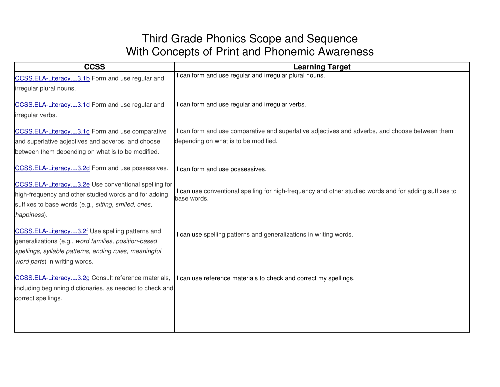## Third Grade Phonics Scope and Sequence With Concepts of Print and Phonemic Awareness

| <b>CCSS</b>                                                                                                                                                                                           | <b>Learning Target</b>                                                                                                                 |
|-------------------------------------------------------------------------------------------------------------------------------------------------------------------------------------------------------|----------------------------------------------------------------------------------------------------------------------------------------|
| CCSS.ELA-Literacy.L.3.1b Form and use regular and<br>irregular plural nouns.                                                                                                                          | I can form and use regular and irregular plural nouns.                                                                                 |
| CCSS.ELA-Literacy.L.3.1d Form and use regular and<br>irregular verbs.                                                                                                                                 | I can form and use regular and irregular verbs.                                                                                        |
| CCSS.ELA-Literacy.L.3.1g Form and use comparative<br>and superlative adjectives and adverbs, and choose<br>between them depending on what is to be modified.                                          | I can form and use comparative and superlative adjectives and adverbs, and choose between them<br>depending on what is to be modified. |
| CCSS.ELA-Literacy.L.3.2d Form and use possessives.                                                                                                                                                    | I can form and use possessives.                                                                                                        |
| CCSS.ELA-Literacy.L.3.2e Use conventional spelling for<br>high-frequency and other studied words and for adding<br>suffixes to base words (e.g., sitting, smiled, cries,<br>happiness).               | I can use conventional spelling for high-frequency and other studied words and for adding suffixes to<br>base words.                   |
| CCSS.ELA-Literacy.L.3.2f Use spelling patterns and<br>generalizations (e.g., word families, position-based<br>spellings, syllable patterns, ending rules, meaningful<br>word parts) in writing words. | I can use spelling patterns and generalizations in writing words.                                                                      |
| CCSS.ELA-Literacy.L.3.2g Consult reference materials,<br>including beginning dictionaries, as needed to check and<br>correct spellings.                                                               | I can use reference materials to check and correct my spellings.                                                                       |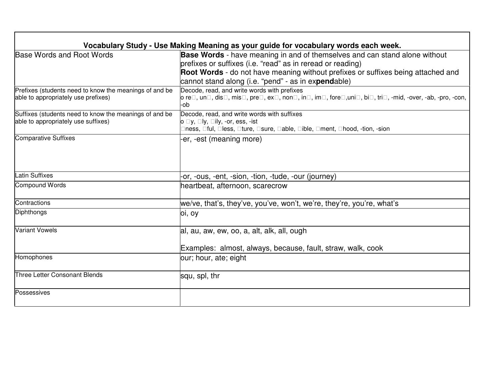| Vocabulary Study - Use Making Meaning as your guide for vocabulary words each week.           |                                                                                                                                                  |  |  |  |  |
|-----------------------------------------------------------------------------------------------|--------------------------------------------------------------------------------------------------------------------------------------------------|--|--|--|--|
| Base Words and Root Words                                                                     | Base Words - have meaning in and of themselves and can stand alone without                                                                       |  |  |  |  |
|                                                                                               | prefixes or suffixes (i.e. "read" as in reread or reading)                                                                                       |  |  |  |  |
|                                                                                               | Root Words - do not have meaning without prefixes or suffixes being attached and                                                                 |  |  |  |  |
|                                                                                               | cannot stand along (i.e. "pend" - as in expendable)                                                                                              |  |  |  |  |
| Prefixes (students need to know the meanings of and be<br>able to appropriately use prefixes) | Decode, read, and write words with prefixes<br>ore, un, dis, mis, pre, ex, non, in, im, fore, uni, bi, tri, -mid, -over, -ab, -pro, -con,<br>-ob |  |  |  |  |
| Suffixes (students need to know the meanings of and be                                        | Decode, read, and write words with suffixes                                                                                                      |  |  |  |  |
| able to appropriately use suffixes)                                                           | o y, ly, ily, -or, ess, -ist<br>ness, ful, less, ture, sure, able, ible, ment, hood, tion, sion                                                  |  |  |  |  |
| <b>Comparative Suffixes</b>                                                                   | er, -est (meaning more)                                                                                                                          |  |  |  |  |
| <b>Latin Suffixes</b>                                                                         | -or, -ous, -ent, -sion, -tion, -tude, -our (journey)                                                                                             |  |  |  |  |
| <b>Compound Words</b>                                                                         |                                                                                                                                                  |  |  |  |  |
|                                                                                               | heartbeat, afternoon, scarecrow                                                                                                                  |  |  |  |  |
| Contractions                                                                                  | we/ve, that's, they've, you've, won't, we're, they're, you're, what's                                                                            |  |  |  |  |
| Diphthongs                                                                                    | oi, oy                                                                                                                                           |  |  |  |  |
| <b>Variant Vowels</b>                                                                         | lal, au, aw, ew, oo, a, alt, alk, all, ough                                                                                                      |  |  |  |  |
|                                                                                               | Examples: almost, always, because, fault, straw, walk, cook                                                                                      |  |  |  |  |
| Homophones                                                                                    | our; hour, ate; eight                                                                                                                            |  |  |  |  |
| <b>Three Letter Consonant Blends</b>                                                          | squ, spl, thr                                                                                                                                    |  |  |  |  |
| Possessives                                                                                   |                                                                                                                                                  |  |  |  |  |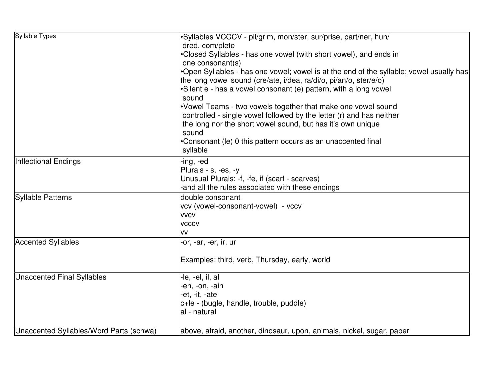| <b>Syllable Types</b>                   | •Syllables VCCCV - pil/grim, mon/ster, sur/prise, part/ner, hun/                        |  |  |  |
|-----------------------------------------|-----------------------------------------------------------------------------------------|--|--|--|
|                                         | dred, com/plete                                                                         |  |  |  |
|                                         | •Closed Syllables - has one vowel (with short vowel), and ends in                       |  |  |  |
|                                         | one consonant(s)                                                                        |  |  |  |
|                                         | •Open Syllables - has one vowel; vowel is at the end of the syllable; vowel usually has |  |  |  |
|                                         | the long vowel sound (cre/ate, i/dea, ra/di/o, pi/an/o, ster/e/o)                       |  |  |  |
|                                         | •Silent e - has a vowel consonant (e) pattern, with a long vowel                        |  |  |  |
|                                         | sound                                                                                   |  |  |  |
|                                         | •Vowel Teams - two vowels together that make one vowel sound                            |  |  |  |
|                                         | controlled - single vowel followed by the letter (r) and has neither                    |  |  |  |
|                                         | the long nor the short vowel sound, but has it's own unique                             |  |  |  |
|                                         | sound                                                                                   |  |  |  |
|                                         | •Consonant (le) 0 this pattern occurs as an unaccented final                            |  |  |  |
|                                         | syllable                                                                                |  |  |  |
| Inflectional Endings                    | -ing, -ed                                                                               |  |  |  |
|                                         | Plurals - s, -es, -y                                                                    |  |  |  |
|                                         | Unusual Plurals: -f, -fe, if (scarf - scarves)                                          |  |  |  |
|                                         | and all the rules associated with these endings                                         |  |  |  |
| <b>Syllable Patterns</b>                | double consonant                                                                        |  |  |  |
|                                         | vcv (vowel-consonant-vowel) - vccv                                                      |  |  |  |
|                                         | <b>VVCV</b>                                                                             |  |  |  |
|                                         | <b>VCCCV</b>                                                                            |  |  |  |
|                                         | vv                                                                                      |  |  |  |
| <b>Accented Syllables</b>               | -or, -ar, -er, ir, ur                                                                   |  |  |  |
|                                         | Examples: third, verb, Thursday, early, world                                           |  |  |  |
| <b>Unaccented Final Syllables</b>       | -le, -el, il, al                                                                        |  |  |  |
|                                         | -en, -on, -ain                                                                          |  |  |  |
|                                         | -et, -it, -ate                                                                          |  |  |  |
|                                         | c+le - (bugle, handle, trouble, puddle)                                                 |  |  |  |
|                                         | al - natural                                                                            |  |  |  |
|                                         |                                                                                         |  |  |  |
| Unaccented Syllables/Word Parts (schwa) | above, afraid, another, dinosaur, upon, animals, nickel, sugar, paper                   |  |  |  |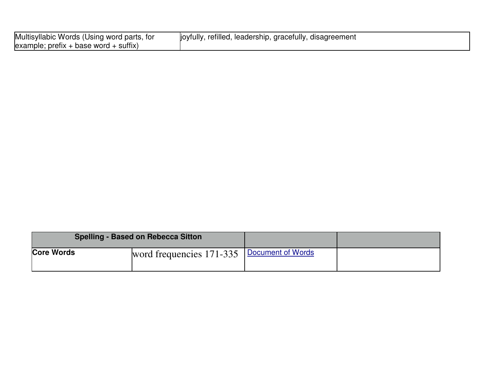| Multisyllabic Words (Using word parts, for     | , refilled, leadership, gracefully, disagreement<br>lloytully, |
|------------------------------------------------|----------------------------------------------------------------|
| $\alpha$ example; prefix + base word + suffix) |                                                                |

| <b>Spelling - Based on Rebecca Sitton</b> |                                              |  |
|-------------------------------------------|----------------------------------------------|--|
| <b>Core Words</b>                         | word frequencies 171-335   Document of Words |  |